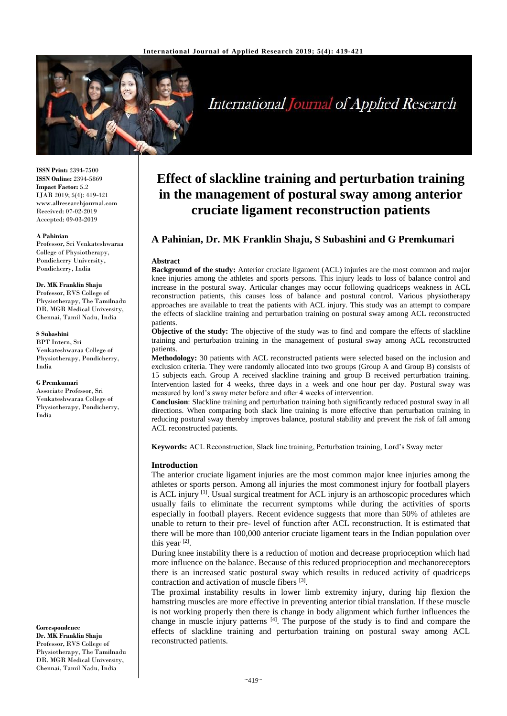

# International Journal of Applied Research

**ISSN Print:** 2394-7500 **ISSN Online:** 2394-5869 **Impact Factor:** 5.2 IJAR 2019; 5(4): 419-421 www.allresearchjournal.com Received: 07-02-2019 Accepted: 09-03-2019

#### **A Pahinian**

Professor, Sri Venkateshwaraa College of Physiotherapy, Pondicherry University, Pondicherry, India

## **Dr. MK Franklin Shaju**

Professor, RVS College of Physiotherapy, The Tamilnadu DR. MGR Medical University, Chennai, Tamil Nadu, India

#### **S Subashini**

BPT Intern, Sri Venkateshwaraa College of Physiotherapy, Pondicherry, India

#### **G Premkumari**

Associate Professor, Sri Venkateshwaraa College of Physiotherapy, Pondicherry, India

**Correspondence Dr. MK Franklin Shaju** Professor, RVS College of Physiotherapy, The Tamilnadu DR. MGR Medical University, Chennai, Tamil Nadu, India

# **Effect of slackline training and perturbation training in the management of postural sway among anterior cruciate ligament reconstruction patients**

# **A Pahinian, Dr. MK Franklin Shaju, S Subashini and G Premkumari**

#### **Abstract**

**Background of the study:** Anterior cruciate ligament (ACL) injuries are the most common and major knee injuries among the athletes and sports persons. This injury leads to loss of balance control and increase in the postural sway. Articular changes may occur following quadriceps weakness in ACL reconstruction patients, this causes loss of balance and postural control. Various physiotherapy approaches are available to treat the patients with ACL injury. This study was an attempt to compare the effects of slackline training and perturbation training on postural sway among ACL reconstructed patients.

**Objective of the study:** The objective of the study was to find and compare the effects of slackline training and perturbation training in the management of postural sway among ACL reconstructed patients.

**Methodology:** 30 patients with ACL reconstructed patients were selected based on the inclusion and exclusion criteria. They were randomly allocated into two groups (Group A and Group B) consists of 15 subjects each. Group A received slackline training and group B received perturbation training. Intervention lasted for 4 weeks, three days in a week and one hour per day. Postural sway was measured by lord's sway meter before and after 4 weeks of intervention.

**Conclusion**: Slackline training and perturbation training both significantly reduced postural sway in all directions. When comparing both slack line training is more effective than perturbation training in reducing postural sway thereby improves balance, postural stability and prevent the risk of fall among ACL reconstructed patients.

**Keywords:** ACL Reconstruction, Slack line training, Perturbation training, Lord's Sway meter

#### **Introduction**

The anterior cruciate ligament injuries are the most common major knee injuries among the athletes or sports person. Among all injuries the most commonest injury for football players is ACL injury  $[1]$ . Usual surgical treatment for ACL injury is an arthoscopic procedures which usually fails to eliminate the recurrent symptoms while during the activities of sports especially in football players. Recent evidence suggests that more than 50% of athletes are unable to return to their pre- level of function after ACL reconstruction. It is estimated that there will be more than 100,000 anterior cruciate ligament tears in the Indian population over this year  $[2]$ .

During knee instability there is a reduction of motion and decrease proprioception which had more influence on the balance. Because of this reduced proprioception and mechanoreceptors there is an increased static postural sway which results in reduced activity of quadriceps contraction and activation of muscle fibers [3] .

The proximal instability results in lower limb extremity injury, during hip flexion the hamstring muscles are more effective in preventing anterior tibial translation. If these muscle is not working properly then there is change in body alignment which further influences the change in muscle injury patterns [4]. The purpose of the study is to find and compare the effects of slackline training and perturbation training on postural sway among ACL reconstructed patients.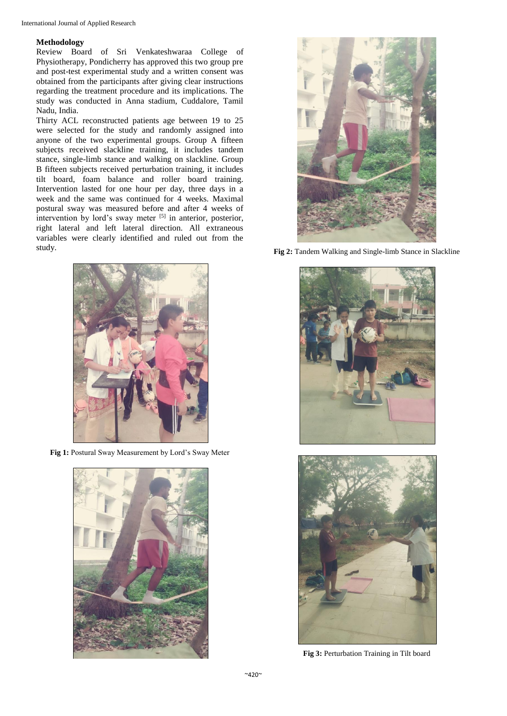# **Methodology**

Review Board of Sri Venkateshwaraa College of Physiotherapy, Pondicherry has approved this two group pre and post-test experimental study and a written consent was obtained from the participants after giving clear instructions regarding the treatment procedure and its implications. The study was conducted in Anna stadium, Cuddalore, Tamil Nadu, India.

Thirty ACL reconstructed patients age between 19 to 25 were selected for the study and randomly assigned into anyone of the two experimental groups. Group A fifteen subjects received slackline training, it includes tandem stance, single-limb stance and walking on slackline. Group B fifteen subjects received perturbation training, it includes tilt board, foam balance and roller board training. Intervention lasted for one hour per day, three days in a week and the same was continued for 4 weeks. Maximal postural sway was measured before and after 4 weeks of intervention by lord's sway meter [5] in anterior, posterior, right lateral and left lateral direction. All extraneous variables were clearly identified and ruled out from the study.



Fig 1: Postural Sway Measurement by Lord's Sway Meter





**Fig 2:** Tandem Walking and Single-limb Stance in Slackline





**Fig 3:** Perturbation Training in Tilt board